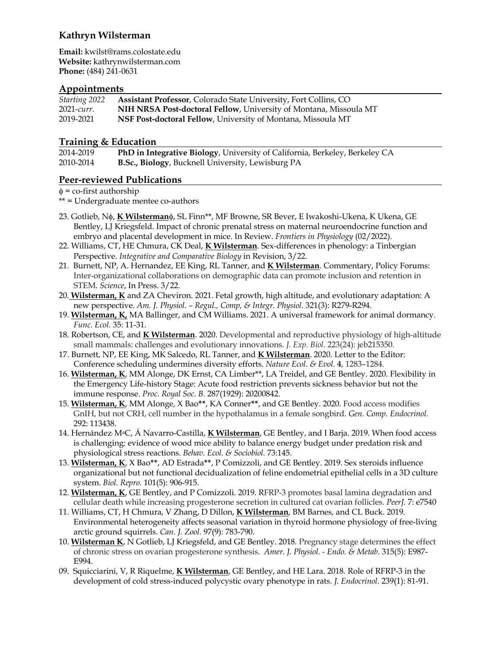**Email:** kwilst@rams.colostate.edu **Website:** kathrynwilsterman.com **Phone:** (484) 241-0631

### **Appointments**

| Starting 2022 | Assistant Professor, Colorado State University, Fort Collins, CO    |
|---------------|---------------------------------------------------------------------|
| 2021-curr.    | NIH NRSA Post-doctoral Fellow, University of Montana, Missoula MT   |
| 2019-2021     | <b>NSF Post-doctoral Fellow, University of Montana, Missoula MT</b> |

### **Training & Education**

| 2014-2019 | PhD in Integrative Biology, University of California, Berkeley, Berkeley CA |
|-----------|-----------------------------------------------------------------------------|
| 2010-2014 | <b>B.Sc., Biology</b> , Bucknell University, Lewisburg PA                   |

# **Peer-reviewed Publications**

 $\phi$  = co-first authorship

\*\* = Undergraduate mentee co-authors

- 23. Gotlieb, Nf, **K Wilsterman**f, SL Finn\*\*, MF Browne, SR Bever, E Iwakoshi-Ukena, K Ukena, GE Bentley, LJ Kriegsfeld. Impact of chronic prenatal stress on maternal neuroendocrine function and embryo and placental development in mice. In Review. *Frontiers in Physiology* (02/2022).
- 22. Williams, CT, HE Chmura, CK Deal, **K Wilsterman**. Sex-differences in phenology: a Tinbergian Perspective. *Integrative and Comparative Biology* in Revision, 3/22.
- 21. Burnett, NP, A. Hernandez, EE King, RL Tanner, and **K Wilsterman**. Commentary, Policy Forums: Inter-organizational collaborations on demographic data can promote inclusion and retention in STEM. *Science*, In Press. 3/22.
- 20. **Wilsterman, K** and ZA Cheviron. 2021. Fetal growth, high altitude, and evolutionary adaptation: A new perspective. *Am. J. Physiol. – Regul., Comp, & Integr. Physiol.* 321(3): R279-R294.
- 19. **Wilsterman, K,** MA Ballinger, and CM Williams. 2021. A universal framework for animal dormancy. *Func. Ecol.* 35: 11-31.
- 18. Robertson, CE, and **K Wilsterman**. 2020. Developmental and reproductive physiology of high-altitude small mammals: challenges and evolutionary innovations. *J. Exp. Biol.* 223(24): jeb215350.
- 17. Burnett, NP, EE King, MK Salcedo, RL Tanner, and **K Wilsterman**. 2020. Letter to the Editor: Conference scheduling undermines diversity efforts. *Nature Ecol. & Evol.* **4**, 1283–1284.
- 16. **Wilsterman, K**, MM Alonge, DK Ernst, CA Limber\*\*, LA Treidel, and GE Bentley. 2020. Flexibility in the Emergency Life-history Stage: Acute food restriction prevents sickness behavior but not the immune response. *Proc. Royal Soc. B.* 287(1929): 20200842.
- 15. **Wilsterman, K**, MM Alonge, X Bao**\*\***, KA Conner**\*\***, and GE Bentley. 2020. Food access modifies GnIH, but not CRH, cell number in the hypothalamus in a female songbird. *Gen. Comp. Endocrinol.* 292: 113438.
- 14. Hernández, MaC, Á Navarro-Castilla, **K Wilsterman**, GE Bentley, and I Barja. 2019. When food access is challenging: evidence of wood mice ability to balance energy budget under predation risk and physiological stress reactions. *Behav. Ecol. & Sociobiol.* 73:145.
- 13. **Wilsterman, K**, X Bao**\*\***, AD Estrada**\*\***, P Comizzoli, and GE Bentley. 2019. Sex steroids influence organizational but not functional decidualization of feline endometrial epithelial cells in a 3D culture system. *Biol. Repro.* 101(5): 906-915.
- 12. **Wilsterman, K**, GE Bentley, and P Comizzoli. 2019. RFRP-3 promotes basal lamina degradation and cellular death while increasing progesterone secretion in cultured cat ovarian follicles. *PeerJ.* 7: e7540
- 11. Williams, CT, H Chmura, V Zhang, D Dillon, **K Wilsterman**, BM Barnes, and CL Buck. 2019. Environmental heterogeneity affects seasonal variation in thyroid hormone physiology of free-living arctic ground squirrels. *Can. J. Zool.* 97(9): 783-790.
- 10. **Wilsterman K**, N Gotlieb, LJ Kriegsfeld, and GE Bentley. 2018*.* Pregnancy stage determines the effect of chronic stress on ovarian progesterone synthesis. *Amer. J. Physiol. - Endo. & Metab.* 315(5): E987- E994.
- 09. Squicciarini, V, R Riquelme, **K Wilsterman**, GE Bentley, and HE Lara. 2018*.* Role of RFRP-3 in the development of cold stress-induced polycystic ovary phenotype in rats. *J. Endocrinol.* 239(1): 81-91.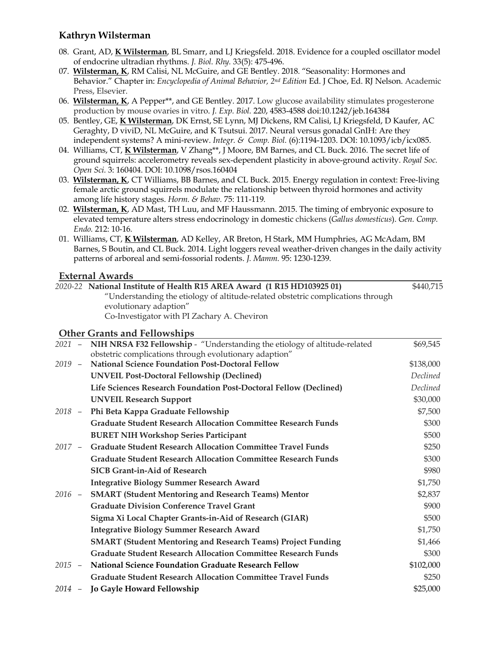- 08. Grant, AD, **K Wilsterman**, BL Smarr, and LJ Kriegsfeld. 2018. Evidence for a coupled oscillator model of endocrine ultradian rhythms. *J. Biol. Rhy.* 33(5): 475-496.
- 07. **Wilsterman, K**, RM Calisi, NL McGuire, and GE Bentley. 2018*.* "Seasonality: Hormones and Behavior." Chapter in: *Encyclopedia of Animal Behavior, 2nd Edition* Ed. J Choe, Ed. RJ Nelson. Academic Press, Elsevier.
- 06. **Wilsterman, K**, A Pepper\*\*, and GE Bentley. 2017. Low glucose availability stimulates progesterone production by mouse ovaries in vitro. *J. Exp. Biol.* 220, 4583-4588 doi:10.1242/jeb.164384
- 05. Bentley, GE, **K Wilsterman**, DK Ernst, SE Lynn, MJ Dickens, RM Calisi, LJ Kriegsfeld, D Kaufer, AC Geraghty, D viviD, NL McGuire, and K Tsutsui. 2017. Neural versus gonadal GnIH: Are they independent systems? A mini-review. *Integr. & Comp. Biol.* (6):1194-1203. DOI: 10.1093/icb/icx085.
- 04. Williams, CT, **K Wilsterman**, V Zhang\*\*, J Moore, BM Barnes, and CL Buck. 2016. The secret life of ground squirrels: accelerometry reveals sex-dependent plasticity in above-ground activity. *Royal Soc. Open Sci.* 3: 160404. DOI: 10.1098/rsos.160404
- 03. **Wilsterman, K**, CT Williams, BB Barnes, and CL Buck. 2015. Energy regulation in context: Free-living female arctic ground squirrels modulate the relationship between thyroid hormones and activity among life history stages. *Horm. & Behav.* 75: 111-119*.*
- 02. **Wilsterman, K**, AD Mast, TH Luu, and MF Haussmann. 2015. The timing of embryonic exposure to elevated temperature alters stress endocrinology in domestic chickens (*Gallus domesticus*). *Gen. Comp. Endo.* 212: 10-16*.*
- 01. Williams, CT, **K Wilsterman**, AD Kelley, AR Breton, H Stark, MM Humphries, AG McAdam, BM Barnes, S Boutin, and CL Buck. 2014. Light loggers reveal weather-driven changes in the daily activity patterns of arboreal and semi-fossorial rodents. *J. Mamm.* 95: 1230-1239.

## **External Awards**

|          | External Awards                                                                  |           |
|----------|----------------------------------------------------------------------------------|-----------|
|          | 2020-22 National Institute of Health R15 AREA Award (1 R15 HD103925 01)          | \$440,715 |
|          | "Understanding the etiology of altitude-related obstetric complications through  |           |
|          | evolutionary adaption"                                                           |           |
|          | Co-Investigator with PI Zachary A. Cheviron                                      |           |
|          | <b>Other Grants and Fellowships</b>                                              |           |
|          | 2021 - NIH NRSA F32 Fellowship - "Understanding the etiology of altitude-related | \$69,545  |
|          | obstetric complications through evolutionary adaption"                           |           |
| $2019 -$ | <b>National Science Foundation Post-Doctoral Fellow</b>                          | \$138,000 |
|          | <b>UNVEIL Post-Doctoral Fellowship (Declined)</b>                                | Declined  |
|          | Life Sciences Research Foundation Post-Doctoral Fellow (Declined)                | Declined  |
|          | <b>UNVEIL Research Support</b>                                                   | \$30,000  |
| $2018 -$ | Phi Beta Kappa Graduate Fellowship                                               | \$7,500   |
|          | <b>Graduate Student Research Allocation Committee Research Funds</b>             | \$300     |
|          | <b>BURET NIH Workshop Series Participant</b>                                     | \$500     |
| $2017 -$ | <b>Graduate Student Research Allocation Committee Travel Funds</b>               | \$250     |
|          | <b>Graduate Student Research Allocation Committee Research Funds</b>             | \$300     |
|          | <b>SICB Grant-in-Aid of Research</b>                                             | \$980     |
|          | <b>Integrative Biology Summer Research Award</b>                                 | \$1,750   |
| $2016 -$ | <b>SMART (Student Mentoring and Research Teams) Mentor</b>                       | \$2,837   |
|          | <b>Graduate Division Conference Travel Grant</b>                                 | \$900     |
|          | Sigma Xi Local Chapter Grants-in-Aid of Research (GIAR)                          | \$500     |
|          | <b>Integrative Biology Summer Research Award</b>                                 | \$1,750   |
|          | <b>SMART (Student Mentoring and Research Teams) Project Funding</b>              | \$1,466   |
|          | <b>Graduate Student Research Allocation Committee Research Funds</b>             | \$300     |
| $2015 -$ | <b>National Science Foundation Graduate Research Fellow</b>                      | \$102,000 |
|          | <b>Graduate Student Research Allocation Committee Travel Funds</b>               | \$250     |
|          | 2014 - Jo Gayle Howard Fellowship                                                | \$25,000  |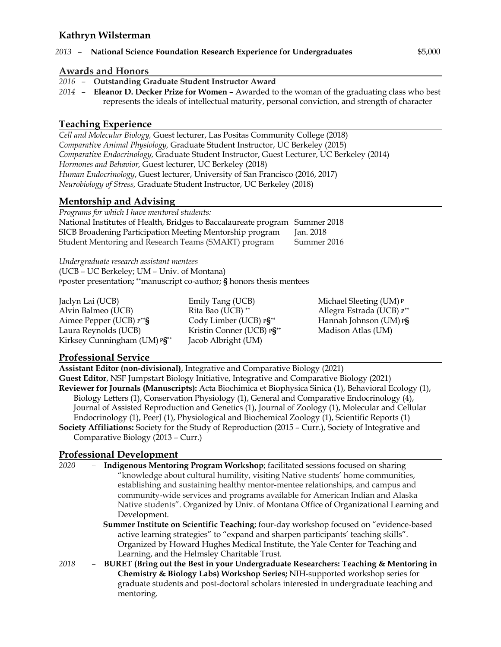#### *2013 –* **National Science Foundation Research Experience for Undergraduates** \$5,000

#### **Awards and Honors**

- *2016* **Outstanding Graduate Student Instructor Award**
- *2014 –* **Eleanor D. Decker Prize for Women** Awarded to the woman of the graduating class who best represents the ideals of intellectual maturity, personal conviction, and strength of character

### **Teaching Experience**

*Cell and Molecular Biology,* Guest lecturer, Las Positas Community College (2018) *Comparative Animal Physiology,* Graduate Student Instructor, UC Berkeley (2015) *Comparative Endocrinology,* Graduate Student Instructor, Guest Lecturer, UC Berkeley (2014) *Hormones and Behavior,* Guest lecturer, UC Berkeley (2018) *Human Endocrinology*, Guest lecturer, University of San Francisco (2016, 2017) *Neurobiology of Stress,* Graduate Student Instructor, UC Berkeley (2018)

### **Mentorship and Advising**

| Programs for which I have mentored students:                                |             |
|-----------------------------------------------------------------------------|-------------|
| National Institutes of Health, Bridges to Baccalaureate program Summer 2018 |             |
| SICB Broadening Participation Meeting Mentorship program                    | Jan. 2018   |
| Student Mentoring and Research Teams (SMART) program                        | Summer 2016 |

*Undergraduate research assistant mentees* (UCB – UC Berkeley; UM – Univ. of Montana) **<sup>p</sup>**poster presentation**; \*\***manuscript co-author; **§** honors thesis mentees

Jaclyn Lai (UCB) Alvin Balmeo (UCB) Aimee Pepper (UCB) **p\*\*§** Laura Reynolds (UCB) Kirksey Cunningham (UM) **p§\*\*** Jacob Albright (UM)

Emily Tang (UCB) Rita Bao (UCB) **\*\*** Cody Limber (UCB) **p§\*\*** Kristin Conner (UCB) **p§\*\*** Michael Sleeting (UM) **<sup>p</sup>** Allegra Estrada (UCB) **p\*\*** Hannah Johnson (UM) **p§** Madison Atlas (UM)

### **Professional Service**

**Assistant Editor (non-divisional)**, Integrative and Comparative Biology (2021) **Guest Editor**, NSF Jumpstart Biology Initiative, Integrative and Comparative Biology (2021) **Reviewer for Journals (Manuscripts):** Acta Biochimica et Biophysica Sinica (1), Behavioral Ecology (1), Biology Letters (1), Conservation Physiology (1), General and Comparative Endocrinology (4), Journal of Assisted Reproduction and Genetics (1), Journal of Zoology (1), Molecular and Cellular Endocrinology (1), PeerJ (1), Physiological and Biochemical Zoology (1), Scientific Reports (1) **Society Affiliations:** Society for the Study of Reproduction (2015 – Curr.), Society of Integrative and Comparative Biology (2013 – Curr.)

### **Professional Development**

*2020 –* **Indigenous Mentoring Program Workshop**; facilitated sessions focused on sharing "knowledge about cultural humility, visiting Native students' home communities, establishing and sustaining healthy mentor-mentee relationships, and campus and community-wide services and programs available for American Indian and Alaska Native students". Organized by Univ. of Montana Office of Organizational Learning and Development.

**Summer Institute on Scientific Teaching**; four-day workshop focused on "evidence-based active learning strategies" to "expand and sharpen participants' teaching skills". Organized by Howard Hughes Medical Institute, the Yale Center for Teaching and Learning, and the Helmsley Charitable Trust.

*2018 –* **BURET (Bring out the Best in your Undergraduate Researchers: Teaching & Mentoring in Chemistry & Biology Labs) Workshop Series;** NIH-supported workshop series for graduate students and post-doctoral scholars interested in undergraduate teaching and mentoring.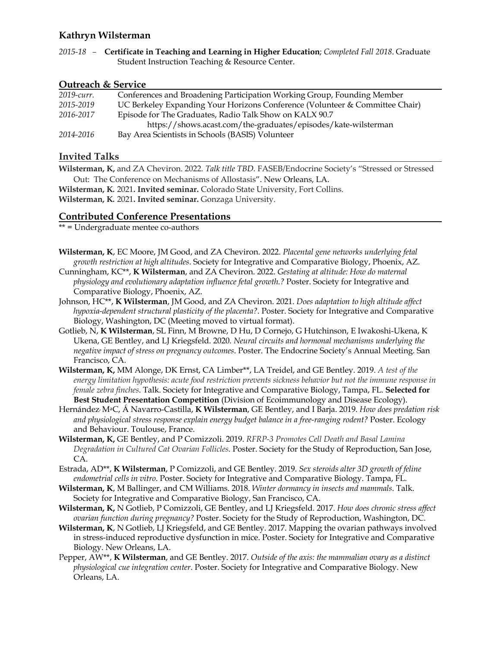*2015-18 –* **Certificate in Teaching and Learning in Higher Education**; *Completed Fall 2018*. Graduate Student Instruction Teaching & Resource Center.

#### **Outreach & Service**

| 2019-curr. | Conferences and Broadening Participation Working Group, Founding Member      |
|------------|------------------------------------------------------------------------------|
| 2015-2019  | UC Berkeley Expanding Your Horizons Conference (Volunteer & Committee Chair) |
| 2016-2017  | Episode for The Graduates, Radio Talk Show on KALX 90.7                      |
|            | https://shows.acast.com/the-graduates/episodes/kate-wilsterman               |
| 2014-2016  | Bay Area Scientists in Schools (BASIS) Volunteer                             |

### **Invited Talks**

**Wilsterman, K,** and ZA Cheviron. 2022. *Talk title TBD.* FASEB/Endocrine Society's "Stressed or Stressed Out: The Conference on Mechanisms of Allostasis". New Orleans, LA.

**Wilsterman, K***.* 2021**. Invited seminar.** Colorado State University, Fort Collins. **Wilsterman, K***.* 2021**. Invited seminar.** Gonzaga University.

#### **Contributed Conference Presentations**

\*\* = Undergraduate mentee co-authors

- **Wilsterman, K**, EC Moore, JM Good, and ZA Cheviron. 2022. *Placental gene networks underlying fetal growth restriction at high altitudes*. Society for Integrative and Comparative Biology, Phoenix, AZ.
- Cunningham, KC\*\*, **K Wilsterman**, and ZA Cheviron. 2022. *Gestating at altitude: How do maternal physiology and evolutionary adaptation influence fetal growth.?* Poster. Society for Integrative and Comparative Biology, Phoenix, AZ.
- Johnson, HC\*\*, **K Wilsterman**, JM Good, and ZA Cheviron. 2021. *Does adaptation to high altitude affect hypoxia-dependent structural plasticity of the placenta?*. Poster. Society for Integrative and Comparative Biology, Washington, DC (Meeting moved to virtual format).
- Gotlieb, N, **K Wilsterman**, SL Finn, M Browne, D Hu, D Cornejo, G Hutchinson, E Iwakoshi-Ukena, K Ukena, GE Bentley, and LJ Kriegsfeld. 2020. *Neural circuits and hormonal mechanisms underlying the negative impact of stress on pregnancy outcomes*. Poster. The Endocrine Society's Annual Meeting. San Francisco, CA.
- **Wilsterman, K,** MM Alonge, DK Ernst, CA Limber\*\*, LA Treidel, and GE Bentley. 2019. *A test of the energy limitation hypothesis: acute food restriction prevents sickness behavior but not the immune response in female zebra finches*. Talk. Society for Integrative and Comparative Biology, Tampa, FL. **Selected for Best Student Presentation Competition** (Division of Ecoimmunology and Disease Ecology).
- Hernández, MaC, Á Navarro-Castilla, **K Wilsterman**, GE Bentley, and I Barja. 2019. *How does predation risk and physiological stress response explain energy budget balance in a free-ranging rodent?* Poster. Ecology and Behaviour. Toulouse, France.
- **Wilsterman, K,** GE Bentley, and P Comizzoli. 2019. *RFRP-3 Promotes Cell Death and Basal Lamina Degradation in Cultured Cat Ovarian Follicles.* Poster. Society for the Study of Reproduction, San Jose, CA.
- Estrada, AD\*\*, **K Wilsterman**, P Comizzoli, and GE Bentley. 2019. *Sex steroids alter 3D growth of feline endometrial cells in vitro*. Poster. Society for Integrative and Comparative Biology. Tampa, FL.
- **Wilsterman, K**, M Ballinger, and CM Williams. 2018. *Winter dormancy in insects and mammals*. Talk. Society for Integrative and Comparative Biology, San Francisco, CA.
- **Wilsterman, K,** N Gotlieb, P Comizzoli, GE Bentley, and LJ Kriegsfeld. 2017. *How does chronic stress affect ovarian function during pregnancy?* Poster. Society for the Study of Reproduction, Washington, DC.
- **Wilsterman, K**, N Gotlieb, LJ Kriegsfeld, and GE Bentley. 2017. Mapping the ovarian pathways involved in stress-induced reproductive dysfunction in mice. Poster. Society for Integrative and Comparative Biology. New Orleans, LA.
- Pepper, AW\*\*, **K Wilsterman**, and GE Bentley. 2017. *Outside of the axis: the mammalian ovary as a distinct physiological cue integration center*. Poster. Society for Integrative and Comparative Biology. New Orleans, LA.